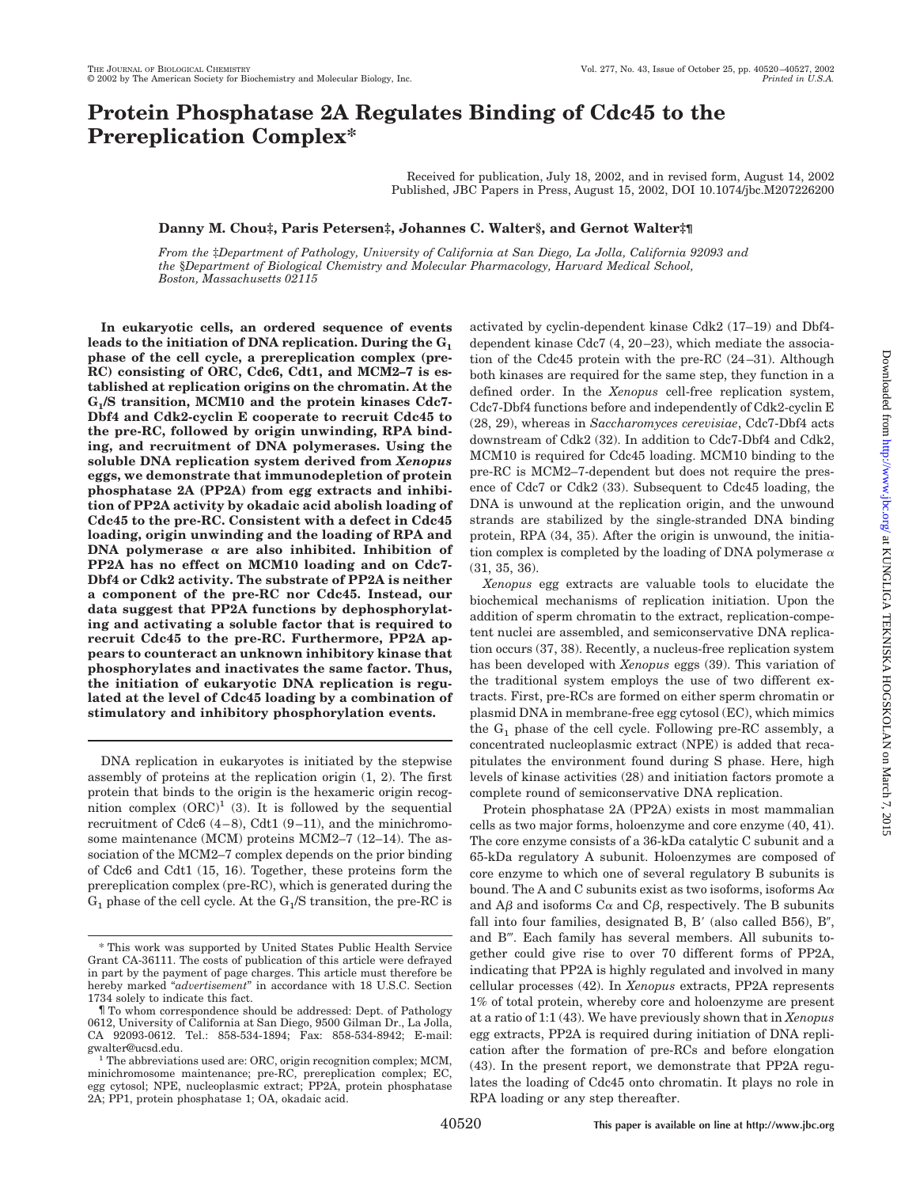## **Protein Phosphatase 2A Regulates Binding of Cdc45 to the Prereplication Complex\***

Received for publication, July 18, 2002, and in revised form, August 14, 2002 Published, JBC Papers in Press, August 15, 2002, DOI 10.1074/jbc.M207226200

### **Danny M. Chou‡, Paris Petersen‡, Johannes C. Walter§, and Gernot Walter‡¶**

*From the* ‡*Department of Pathology, University of California at San Diego, La Jolla, California 92093 and the* §*Department of Biological Chemistry and Molecular Pharmacology, Harvard Medical School, Boston, Massachusetts 02115*

**In eukaryotic cells, an ordered sequence of events leads to the initiation of DNA replication. During the G1 phase of the cell cycle, a prereplication complex (pre-RC) consisting of ORC, Cdc6, Cdt1, and MCM2–7 is established at replication origins on the chromatin. At the G1/S transition, MCM10 and the protein kinases Cdc7- Dbf4 and Cdk2-cyclin E cooperate to recruit Cdc45 to the pre-RC, followed by origin unwinding, RPA binding, and recruitment of DNA polymerases. Using the soluble DNA replication system derived from** *Xenopus* **eggs, we demonstrate that immunodepletion of protein phosphatase 2A (PP2A) from egg extracts and inhibition of PP2A activity by okadaic acid abolish loading of Cdc45 to the pre-RC. Consistent with a defect in Cdc45 loading, origin unwinding and the loading of RPA and DNA** polymerase  $\alpha$  are also inhibited. Inhibition of **PP2A has no effect on MCM10 loading and on Cdc7- Dbf4 or Cdk2 activity. The substrate of PP2A is neither a component of the pre-RC nor Cdc45. Instead, our data suggest that PP2A functions by dephosphorylating and activating a soluble factor that is required to recruit Cdc45 to the pre-RC. Furthermore, PP2A appears to counteract an unknown inhibitory kinase that phosphorylates and inactivates the same factor. Thus, the initiation of eukaryotic DNA replication is regulated at the level of Cdc45 loading by a combination of stimulatory and inhibitory phosphorylation events.**

DNA replication in eukaryotes is initiated by the stepwise assembly of proteins at the replication origin (1, 2). The first protein that binds to the origin is the hexameric origin recognition complex  $(ORC)^1$  (3). It is followed by the sequential recruitment of Cdc6 (4–8), Cdt1 (9–11), and the minichromosome maintenance (MCM) proteins MCM2–7 (12–14). The association of the MCM2–7 complex depends on the prior binding of Cdc6 and Cdt1 (15, 16). Together, these proteins form the prereplication complex (pre-RC), which is generated during the  $G_1$  phase of the cell cycle. At the  $G_1/S$  transition, the pre-RC is activated by cyclin-dependent kinase Cdk2 (17–19) and Dbf4 dependent kinase Cdc7 (4, 20–23), which mediate the association of the Cdc45 protein with the pre-RC (24–31). Although both kinases are required for the same step, they function in a defined order. In the *Xenopus* cell-free replication system, Cdc7-Dbf4 functions before and independently of Cdk2-cyclin E (28, 29), whereas in *Saccharomyces cerevisiae*, Cdc7-Dbf4 acts downstream of Cdk2 (32). In addition to Cdc7-Dbf4 and Cdk2, MCM10 is required for Cdc45 loading. MCM10 binding to the pre-RC is MCM2–7-dependent but does not require the presence of Cdc7 or Cdk2 (33). Subsequent to Cdc45 loading, the DNA is unwound at the replication origin, and the unwound strands are stabilized by the single-stranded DNA binding protein, RPA (34, 35). After the origin is unwound, the initiation complex is completed by the loading of DNA polymerase  $\alpha$ (31, 35, 36).

*Xenopus* egg extracts are valuable tools to elucidate the biochemical mechanisms of replication initiation. Upon the addition of sperm chromatin to the extract, replication-competent nuclei are assembled, and semiconservative DNA replication occurs (37, 38). Recently, a nucleus-free replication system has been developed with *Xenopus* eggs (39). This variation of the traditional system employs the use of two different extracts. First, pre-RCs are formed on either sperm chromatin or plasmid DNA in membrane-free egg cytosol (EC), which mimics the  $G_1$  phase of the cell cycle. Following pre-RC assembly, a concentrated nucleoplasmic extract (NPE) is added that recapitulates the environment found during S phase. Here, high levels of kinase activities (28) and initiation factors promote a complete round of semiconservative DNA replication.

Protein phosphatase 2A (PP2A) exists in most mammalian cells as two major forms, holoenzyme and core enzyme (40, 41). The core enzyme consists of a 36-kDa catalytic C subunit and a 65-kDa regulatory A subunit. Holoenzymes are composed of core enzyme to which one of several regulatory B subunits is bound. The A and C subunits exist as two isoforms, isoforms  $A\alpha$ and A $\beta$  and isoforms C $\alpha$  and C $\beta$ , respectively. The B subunits fall into four families, designated B, B' (also called B56), B'', and B". Each family has several members. All subunits together could give rise to over 70 different forms of PP2A, indicating that PP2A is highly regulated and involved in many cellular processes (42). In *Xenopus* extracts, PP2A represents 1% of total protein, whereby core and holoenzyme are present at a ratio of 1:1 (43). We have previously shown that in *Xenopus* egg extracts, PP2A is required during initiation of DNA replication after the formation of pre-RCs and before elongation (43). In the present report, we demonstrate that PP2A regulates the loading of Cdc45 onto chromatin. It plays no role in RPA loading or any step thereafter.

<sup>\*</sup> This work was supported by United States Public Health Service Grant CA-36111. The costs of publication of this article were defrayed in part by the payment of page charges. This article must therefore be hereby marked "*advertisement*" in accordance with 18 U.S.C. Section 1734 solely to indicate this fact.

<sup>¶</sup> To whom correspondence should be addressed: Dept. of Pathology 0612, University of California at San Diego, 9500 Gilman Dr., La Jolla, CA 92093-0612. Tel.: 858-534-1894; Fax: 858-534-8942; E-mail:

 $^1$  The abbreviations used are: ORC, origin recognition complex; MCM, minichromosome maintenance; pre-RC, prereplication complex; EC, egg cytosol; NPE, nucleoplasmic extract; PP2A, protein phosphatase 2A; PP1, protein phosphatase 1; OA, okadaic acid.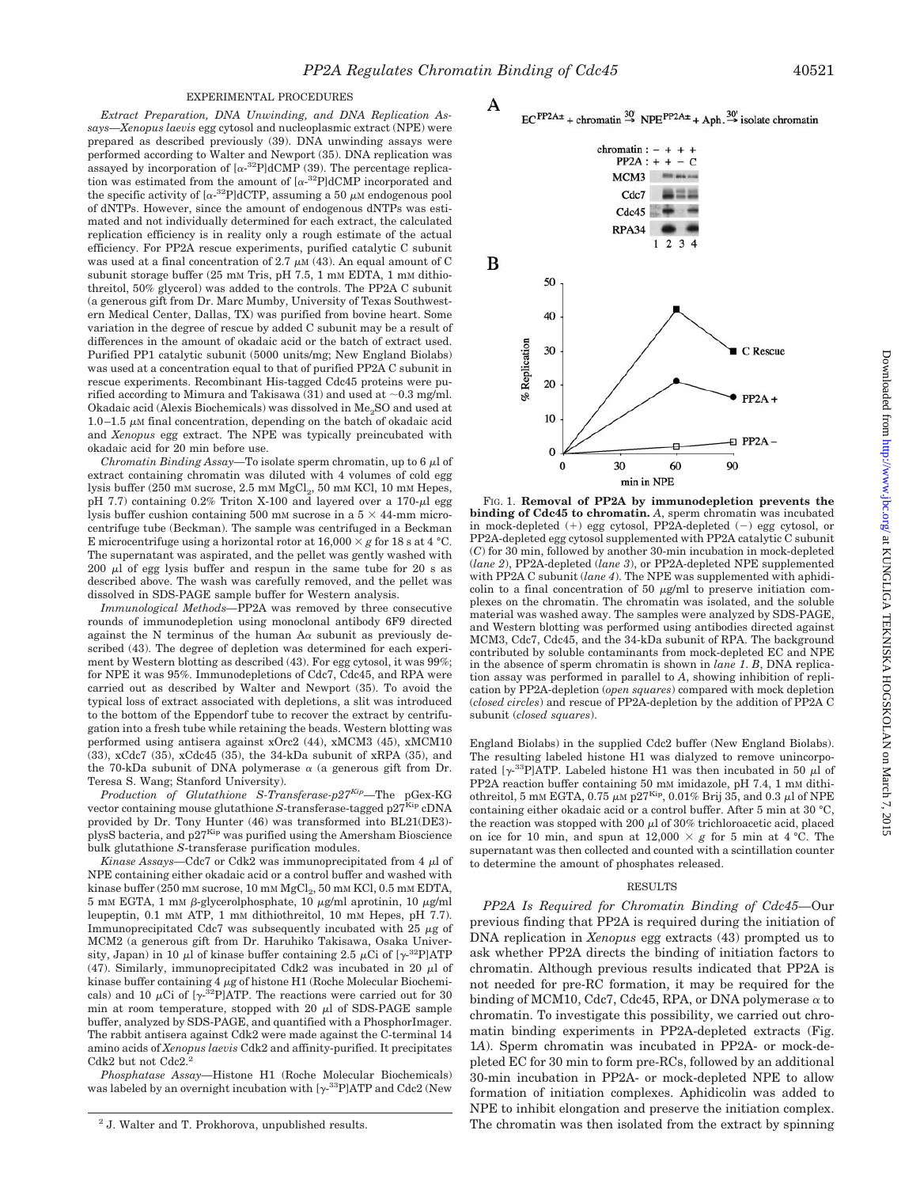A

20

10

 $\theta$ 

 $\theta$ 

30

#### EXPERIMENTAL PROCEDURES

*Extract Preparation, DNA Unwinding, and DNA Replication Assays—Xenopus laevis* egg cytosol and nucleoplasmic extract (NPE) were prepared as described previously (39). DNA unwinding assays were performed according to Walter and Newport (35). DNA replication was assayed by incorporation of  $[\alpha^{-32}P]dCMP$  (39). The percentage replication was estimated from the amount of  $[\alpha^{-32}P]$ dCMP incorporated and the specific activity of  $[\alpha^{-32}P] dCTP$ , assuming a 50  $\mu$ M endogenous pool of dNTPs. However, since the amount of endogenous dNTPs was estimated and not individually determined for each extract, the calculated replication efficiency is in reality only a rough estimate of the actual efficiency. For PP2A rescue experiments, purified catalytic C subunit was used at a final concentration of 2.7  $\mu$ M (43). An equal amount of C subunit storage buffer (25 mm Tris, pH 7.5, 1 mm EDTA, 1 mm dithiothreitol, 50% glycerol) was added to the controls. The PP2A C subunit (a generous gift from Dr. Marc Mumby, University of Texas Southwestern Medical Center, Dallas, TX) was purified from bovine heart. Some variation in the degree of rescue by added C subunit may be a result of differences in the amount of okadaic acid or the batch of extract used. Purified PP1 catalytic subunit (5000 units/mg; New England Biolabs) was used at a concentration equal to that of purified PP2A C subunit in rescue experiments. Recombinant His-tagged Cdc45 proteins were purified according to Mimura and Takisawa (31) and used at  $\sim 0.3$  mg/ml. Okadaic acid (Alexis Biochemicals) was dissolved in Me<sub>2</sub>SO and used at 1.0–1.5  $\mu$ M final concentration, depending on the batch of okadaic acid and *Xenopus* egg extract. The NPE was typically preincubated with okadaic acid for 20 min before use.

*Chromatin Binding Assay*—To isolate sperm chromatin, up to  $6 \mu$  of extract containing chromatin was diluted with 4 volumes of cold egg lysis buffer (250 mM sucrose, 2.5 mM MgCl<sub>2</sub>, 50 mM KCl, 10 mM Hepes, pH 7.7) containing  $0.2\%$  Triton X-100 and layered over a 170- $\mu$ l egg lysis buffer cushion containing 500 mM sucrose in a  $5 \times 44$ -mm microcentrifuge tube (Beckman). The sample was centrifuged in a Beckman E microcentrifuge using a horizontal rotor at  $16,000 \times g$  for 18 s at 4 °C. The supernatant was aspirated, and the pellet was gently washed with  $200 \mu l$  of egg lysis buffer and respun in the same tube for  $20 \text{ s}$  as described above. The wash was carefully removed, and the pellet was dissolved in SDS-PAGE sample buffer for Western analysis.

*Immunological Methods—*PP2A was removed by three consecutive rounds of immunodepletion using monoclonal antibody 6F9 directed against the N terminus of the human  $A\alpha$  subunit as previously described (43). The degree of depletion was determined for each experiment by Western blotting as described (43). For egg cytosol, it was 99%; for NPE it was 95%. Immunodepletions of Cdc7, Cdc45, and RPA were carried out as described by Walter and Newport (35). To avoid the typical loss of extract associated with depletions, a slit was introduced to the bottom of the Eppendorf tube to recover the extract by centrifugation into a fresh tube while retaining the beads. Western blotting was performed using antisera against xOrc2 (44), xMCM3 (45), xMCM10 (33), xCdc7 (35), xCdc45 (35), the 34-kDa subunit of xRPA (35), and the 70-kDa subunit of DNA polymerase  $\alpha$  (a generous gift from Dr. Teresa S. Wang; Stanford University).

*Production of Glutathione S-Transferase-p27Kip—*The pGex-KG vector containing mouse glutathione *S*-transferase-tagged p27<sup>Kip</sup> cDNA provided by Dr. Tony Hunter (46) was transformed into BL21(DE3) plysS bacteria, and p27<sup>Kip</sup> was purified using the Amersham Bioscience bulk glutathione *S*-transferase purification modules.

*Kinase Assays*—Cdc7 or Cdk2 was immunoprecipitated from 4  $\mu$ l of NPE containing either okadaic acid or a control buffer and washed with kinase buffer (250 mM sucrose, 10 mM MgCl<sub>2</sub>, 50 mM KCl, 0.5 mM EDTA,  $5 \text{ mm}$  EGTA, 1 mm  $\beta$ -glycerolphosphate, 10  $\mu$ g/ml aprotinin, 10  $\mu$ g/ml leupeptin, 0.1 mM ATP, 1 mM dithiothreitol, 10 mM Hepes, pH 7.7). Immunoprecipitated Cdc7 was subsequently incubated with 25  $\mu$ g of MCM2 (a generous gift from Dr. Haruhiko Takisawa, Osaka University, Japan) in 10  $\mu$ l of kinase buffer containing 2.5  $\mu$ Ci of [ $\gamma$ -<sup>32</sup>P]ATP (47). Similarly, immunoprecipitated Cdk2 was incubated in 20  $\mu$ l of kinase buffer containing  $4 \mu$ g of histone H1 (Roche Molecular Biochemicals) and 10  $\mu$ Ci of [ $\gamma$ -<sup>32</sup>P]ATP. The reactions were carried out for 30 min at room temperature, stopped with 20  $\mu$ l of SDS-PAGE sample buffer, analyzed by SDS-PAGE, and quantified with a PhosphorImager. The rabbit antisera against Cdk2 were made against the C-terminal 14 amino acids of *Xenopus laevis* Cdk2 and affinity-purified. It precipitates Cdk2 but not Cdc2.<sup>2</sup>

*Phosphatase Assay—*Histone H1 (Roche Molecular Biochemicals) was labeled by an overnight incubation with  $[\gamma^{33}P]ATP$  and Cdc2 (New



min in NPE FIG. 1. **Removal of PP2A by immunodepletion prevents the binding of Cdc45 to chromatin.** *A*, sperm chromatin was incubated in mock-depleted (+) egg cytosol, PP2A-depleted (-) egg cytosol, or PP2A-depleted egg cytosol supplemented with PP2A catalytic C subunit (*C*) for 30 min, followed by another 30-min incubation in mock-depleted (*lane 2*), PP2A-depleted (*lane 3*), or PP2A-depleted NPE supplemented with PP2A C subunit (*lane 4*). The NPE was supplemented with aphidicolin to a final concentration of 50  $\mu$ g/ml to preserve initiation complexes on the chromatin. The chromatin was isolated, and the soluble material was washed away. The samples were analyzed by SDS-PAGE, and Western blotting was performed using antibodies directed against MCM3, Cdc7, Cdc45, and the 34-kDa subunit of RPA. The background contributed by soluble contaminants from mock-depleted EC and NPE in the absence of sperm chromatin is shown in *lane 1*. *B*, DNA replication assay was performed in parallel to *A*, showing inhibition of replication by PP2A-depletion (*open squares*) compared with mock depletion (*closed circles*) and rescue of PP2A-depletion by the addition of PP2A C subunit (*closed squares*).

60

England Biolabs) in the supplied Cdc2 buffer (New England Biolabs). The resulting labeled histone H1 was dialyzed to remove unincorporated  $[\gamma^{33}P]$ ATP. Labeled histone H1 was then incubated in 50  $\mu$ l of PP2A reaction buffer containing 50 mM imidazole, pH 7.4, 1 mM dithiothreitol, 5 mm EGTA, 0.75  $\mu$ m p27Kip, 0.01% Brij 35, and 0.3  $\mu$ l of NPE containing either okadaic acid or a control buffer. After 5 min at 30 °C, the reaction was stopped with 200  $\mu$ l of 30% trichloroacetic acid, placed on ice for 10 min, and spun at  $12,000 \times g$  for 5 min at 4 °C. The supernatant was then collected and counted with a scintillation counter to determine the amount of phosphates released.

#### RESULTS

*PP2A Is Required for Chromatin Binding of Cdc45—*Our previous finding that PP2A is required during the initiation of DNA replication in *Xenopus* egg extracts (43) prompted us to ask whether PP2A directs the binding of initiation factors to chromatin. Although previous results indicated that PP2A is not needed for pre-RC formation, it may be required for the binding of MCM10, Cdc7, Cdc45, RPA, or DNA polymerase  $\alpha$  to chromatin. To investigate this possibility, we carried out chromatin binding experiments in PP2A-depleted extracts (Fig. 1*A*). Sperm chromatin was incubated in PP2A- or mock-depleted EC for 30 min to form pre-RCs, followed by an additional 30-min incubation in PP2A- or mock-depleted NPE to allow formation of initiation complexes. Aphidicolin was added to NPE to inhibit elongation and preserve the initiation complex. <sup>2</sup> J. Walter and T. Prokhorova, unpublished results. The chromatin was then isolated from the extract by spinning

 $PP2A +$ 

 $E$  PP2A -

90

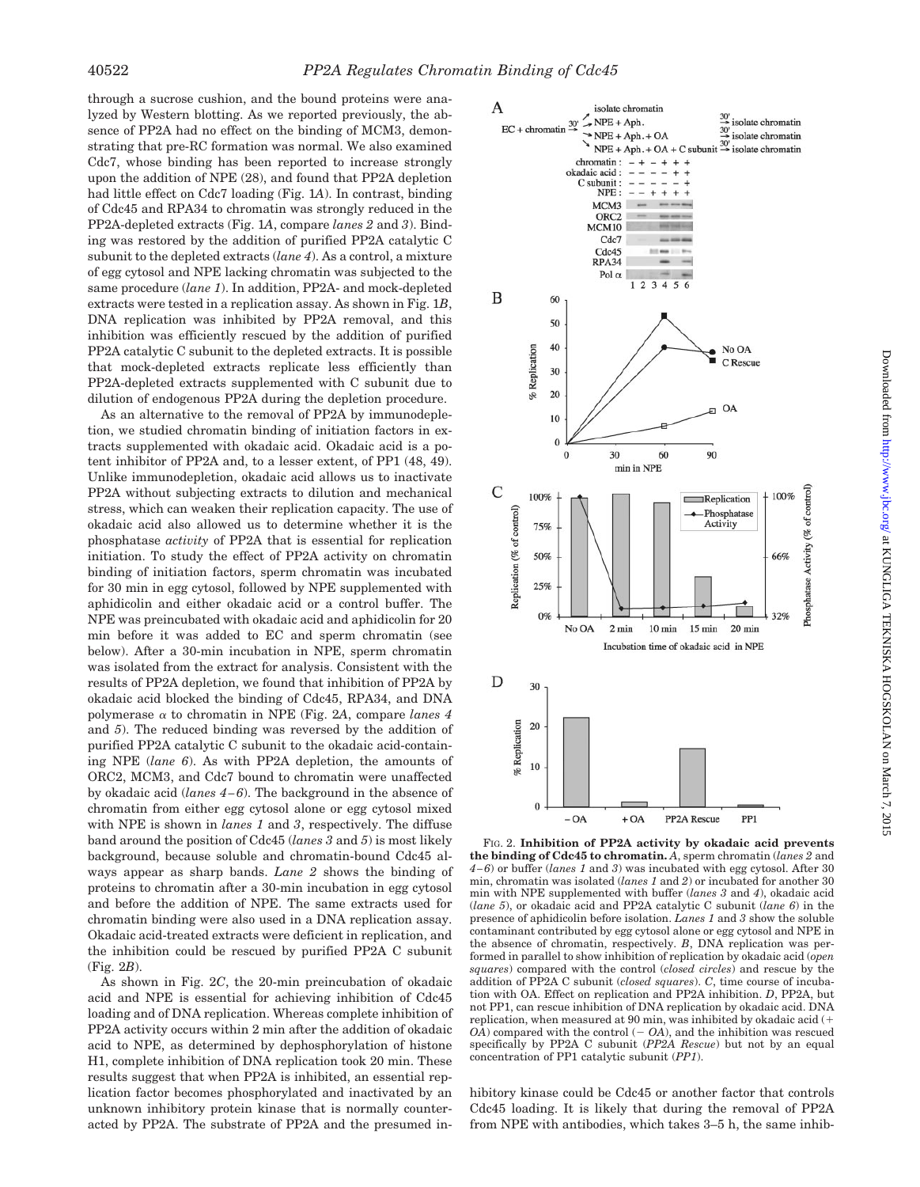through a sucrose cushion, and the bound proteins were analyzed by Western blotting. As we reported previously, the absence of PP2A had no effect on the binding of MCM3, demonstrating that pre-RC formation was normal. We also examined Cdc7, whose binding has been reported to increase strongly upon the addition of NPE (28), and found that PP2A depletion had little effect on Cdc7 loading (Fig. 1*A*). In contrast, binding of Cdc45 and RPA34 to chromatin was strongly reduced in the PP2A-depleted extracts (Fig. 1*A*, compare *lanes 2* and *3*). Binding was restored by the addition of purified PP2A catalytic C subunit to the depleted extracts (*lane 4*). As a control, a mixture of egg cytosol and NPE lacking chromatin was subjected to the same procedure (*lane 1*). In addition, PP2A- and mock-depleted extracts were tested in a replication assay. As shown in Fig. 1*B*, DNA replication was inhibited by PP2A removal, and this inhibition was efficiently rescued by the addition of purified PP2A catalytic C subunit to the depleted extracts. It is possible that mock-depleted extracts replicate less efficiently than PP2A-depleted extracts supplemented with C subunit due to dilution of endogenous PP2A during the depletion procedure.

As an alternative to the removal of PP2A by immunodepletion, we studied chromatin binding of initiation factors in extracts supplemented with okadaic acid. Okadaic acid is a potent inhibitor of PP2A and, to a lesser extent, of PP1 (48, 49). Unlike immunodepletion, okadaic acid allows us to inactivate PP2A without subjecting extracts to dilution and mechanical stress, which can weaken their replication capacity. The use of okadaic acid also allowed us to determine whether it is the phosphatase *activity* of PP2A that is essential for replication initiation. To study the effect of PP2A activity on chromatin binding of initiation factors, sperm chromatin was incubated for 30 min in egg cytosol, followed by NPE supplemented with aphidicolin and either okadaic acid or a control buffer. The NPE was preincubated with okadaic acid and aphidicolin for 20 min before it was added to EC and sperm chromatin (see below). After a 30-min incubation in NPE, sperm chromatin was isolated from the extract for analysis. Consistent with the results of PP2A depletion, we found that inhibition of PP2A by okadaic acid blocked the binding of Cdc45, RPA34, and DNA polymerase  $\alpha$  to chromatin in NPE (Fig. 2A, compare *lanes 4* and *5*). The reduced binding was reversed by the addition of purified PP2A catalytic C subunit to the okadaic acid-containing NPE (*lane 6*). As with PP2A depletion, the amounts of ORC2, MCM3, and Cdc7 bound to chromatin were unaffected by okadaic acid (*lanes 4–6*). The background in the absence of chromatin from either egg cytosol alone or egg cytosol mixed with NPE is shown in *lanes 1* and *3*, respectively. The diffuse band around the position of Cdc45 (*lanes 3* and *5*) is most likely background, because soluble and chromatin-bound Cdc45 always appear as sharp bands. *Lane 2* shows the binding of proteins to chromatin after a 30-min incubation in egg cytosol and before the addition of NPE. The same extracts used for chromatin binding were also used in a DNA replication assay. Okadaic acid-treated extracts were deficient in replication, and the inhibition could be rescued by purified PP2A C subunit (Fig. 2*B*).

As shown in Fig. 2*C*, the 20-min preincubation of okadaic acid and NPE is essential for achieving inhibition of Cdc45 loading and of DNA replication. Whereas complete inhibition of PP2A activity occurs within 2 min after the addition of okadaic acid to NPE, as determined by dephosphorylation of histone H1, complete inhibition of DNA replication took 20 min. These results suggest that when PP2A is inhibited, an essential replication factor becomes phosphorylated and inactivated by an unknown inhibitory protein kinase that is normally counteracted by PP2A. The substrate of PP2A and the presumed in-



FIG. 2. **Inhibition of PP2A activity by okadaic acid prevents the binding of Cdc45 to chromatin.** *A*, sperm chromatin (*lanes 2* and *4–6*) or buffer (*lanes 1* and *3*) was incubated with egg cytosol. After 30 min, chromatin was isolated (*lanes 1* and *2*) or incubated for another 30 min with NPE supplemented with buffer (*lanes 3* and *4*), okadaic acid (*lane 5*), or okadaic acid and PP2A catalytic C subunit (*lane 6*) in the presence of aphidicolin before isolation. *Lanes 1* and *3* show the soluble contaminant contributed by egg cytosol alone or egg cytosol and NPE in the absence of chromatin, respectively. *B*, DNA replication was performed in parallel to show inhibition of replication by okadaic acid (*open squares*) compared with the control (*closed circles*) and rescue by the addition of PP2A C subunit (*closed squares*). *C*, time course of incubation with OA. Effect on replication and PP2A inhibition. *D*, PP2A, but not PP1, can rescue inhibition of DNA replication by okadaic acid. DNA replication, when measured at 90 min, was inhibited by okadaic acid (  $OA$ ) compared with the control  $(-OA)$ , and the inhibition was rescued specifically by PP2A C subunit (*PP2A Rescue*) but not by an equal concentration of PP1 catalytic subunit (*PP1*).

hibitory kinase could be Cdc45 or another factor that controls Cdc45 loading. It is likely that during the removal of PP2A from NPE with antibodies, which takes 3–5 h, the same inhib-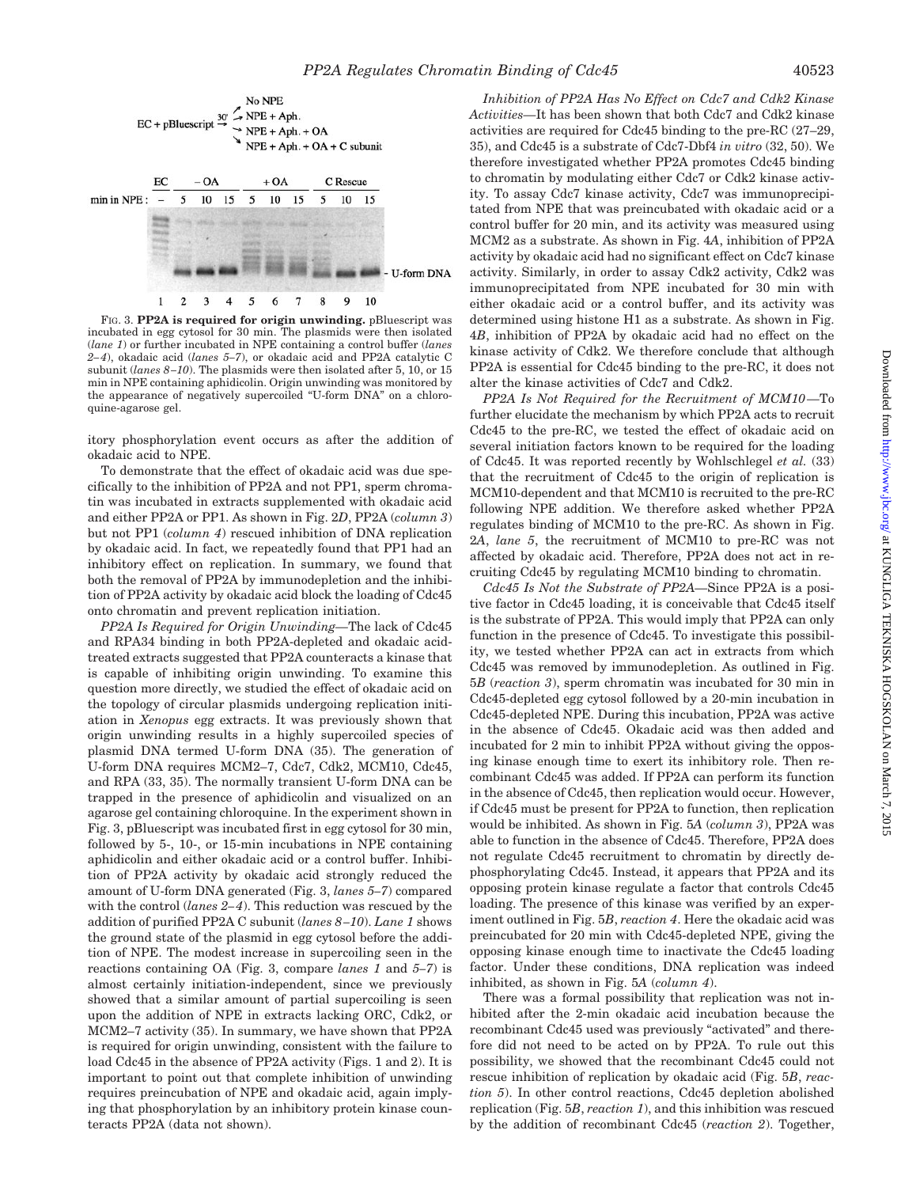

FIG. 3. **PP2A is required for origin unwinding.** pBluescript was incubated in egg cytosol for 30 min. The plasmids were then isolated (*lane 1*) or further incubated in NPE containing a control buffer (*lanes 2–4*), okadaic acid (*lanes 5–7*), or okadaic acid and PP2A catalytic C subunit (*lanes 8–10*). The plasmids were then isolated after 5, 10, or 15 min in NPE containing aphidicolin. Origin unwinding was monitored by the appearance of negatively supercoiled "U-form DNA" on a chloroquine-agarose gel.

itory phosphorylation event occurs as after the addition of okadaic acid to NPE.

To demonstrate that the effect of okadaic acid was due specifically to the inhibition of PP2A and not PP1, sperm chromatin was incubated in extracts supplemented with okadaic acid and either PP2A or PP1. As shown in Fig. 2*D*, PP2A (*column 3*) but not PP1 (*column 4*) rescued inhibition of DNA replication by okadaic acid. In fact, we repeatedly found that PP1 had an inhibitory effect on replication. In summary, we found that both the removal of PP2A by immunodepletion and the inhibition of PP2A activity by okadaic acid block the loading of Cdc45 onto chromatin and prevent replication initiation.

*PP2A Is Required for Origin Unwinding—*The lack of Cdc45 and RPA34 binding in both PP2A-depleted and okadaic acidtreated extracts suggested that PP2A counteracts a kinase that is capable of inhibiting origin unwinding. To examine this question more directly, we studied the effect of okadaic acid on the topology of circular plasmids undergoing replication initiation in *Xenopus* egg extracts. It was previously shown that origin unwinding results in a highly supercoiled species of plasmid DNA termed U-form DNA (35). The generation of U-form DNA requires MCM2–7, Cdc7, Cdk2, MCM10, Cdc45, and RPA (33, 35). The normally transient U-form DNA can be trapped in the presence of aphidicolin and visualized on an agarose gel containing chloroquine. In the experiment shown in Fig. 3, pBluescript was incubated first in egg cytosol for 30 min, followed by 5-, 10-, or 15-min incubations in NPE containing aphidicolin and either okadaic acid or a control buffer. Inhibition of PP2A activity by okadaic acid strongly reduced the amount of U-form DNA generated (Fig. 3, *lanes 5–7*) compared with the control (*lanes 2–4*). This reduction was rescued by the addition of purified PP2A C subunit (*lanes 8–10*). *Lane 1* shows the ground state of the plasmid in egg cytosol before the addition of NPE. The modest increase in supercoiling seen in the reactions containing OA (Fig. 3, compare *lanes 1* and *5–7*) is almost certainly initiation-independent, since we previously showed that a similar amount of partial supercoiling is seen upon the addition of NPE in extracts lacking ORC, Cdk2, or MCM2–7 activity (35). In summary, we have shown that PP2A is required for origin unwinding, consistent with the failure to load Cdc45 in the absence of PP2A activity (Figs. 1 and 2). It is important to point out that complete inhibition of unwinding requires preincubation of NPE and okadaic acid, again implying that phosphorylation by an inhibitory protein kinase counteracts PP2A (data not shown).

*Inhibition of PP2A Has No Effect on Cdc7 and Cdk2 Kinase Activities—*It has been shown that both Cdc7 and Cdk2 kinase activities are required for Cdc45 binding to the pre-RC (27–29, 35), and Cdc45 is a substrate of Cdc7-Dbf4 *in vitro* (32, 50). We therefore investigated whether PP2A promotes Cdc45 binding to chromatin by modulating either Cdc7 or Cdk2 kinase activity. To assay Cdc7 kinase activity, Cdc7 was immunoprecipitated from NPE that was preincubated with okadaic acid or a control buffer for 20 min, and its activity was measured using MCM2 as a substrate. As shown in Fig. 4*A*, inhibition of PP2A activity by okadaic acid had no significant effect on Cdc7 kinase activity. Similarly, in order to assay Cdk2 activity, Cdk2 was immunoprecipitated from NPE incubated for 30 min with either okadaic acid or a control buffer, and its activity was determined using histone H1 as a substrate. As shown in Fig. 4*B*, inhibition of PP2A by okadaic acid had no effect on the kinase activity of Cdk2. We therefore conclude that although PP2A is essential for Cdc45 binding to the pre-RC, it does not alter the kinase activities of Cdc7 and Cdk2.

*PP2A Is Not Required for the Recruitment of MCM10—*To further elucidate the mechanism by which PP2A acts to recruit Cdc45 to the pre-RC, we tested the effect of okadaic acid on several initiation factors known to be required for the loading of Cdc45. It was reported recently by Wohlschlegel *et al.* (33) that the recruitment of Cdc45 to the origin of replication is MCM10-dependent and that MCM10 is recruited to the pre-RC following NPE addition. We therefore asked whether PP2A regulates binding of MCM10 to the pre-RC. As shown in Fig. 2*A*, *lane 5*, the recruitment of MCM10 to pre-RC was not affected by okadaic acid. Therefore, PP2A does not act in recruiting Cdc45 by regulating MCM10 binding to chromatin.

*Cdc45 Is Not the Substrate of PP2A—*Since PP2A is a positive factor in Cdc45 loading, it is conceivable that Cdc45 itself is the substrate of PP2A. This would imply that PP2A can only function in the presence of Cdc45. To investigate this possibility, we tested whether PP2A can act in extracts from which Cdc45 was removed by immunodepletion. As outlined in Fig. 5*B* (*reaction 3*), sperm chromatin was incubated for 30 min in Cdc45-depleted egg cytosol followed by a 20-min incubation in Cdc45-depleted NPE. During this incubation, PP2A was active in the absence of Cdc45. Okadaic acid was then added and incubated for 2 min to inhibit PP2A without giving the opposing kinase enough time to exert its inhibitory role. Then recombinant Cdc45 was added. If PP2A can perform its function in the absence of Cdc45, then replication would occur. However, if Cdc45 must be present for PP2A to function, then replication would be inhibited. As shown in Fig. 5*A* (*column 3*), PP2A was able to function in the absence of Cdc45. Therefore, PP2A does not regulate Cdc45 recruitment to chromatin by directly dephosphorylating Cdc45. Instead, it appears that PP2A and its opposing protein kinase regulate a factor that controls Cdc45 loading. The presence of this kinase was verified by an experiment outlined in Fig. 5*B*, *reaction 4*. Here the okadaic acid was preincubated for 20 min with Cdc45-depleted NPE, giving the opposing kinase enough time to inactivate the Cdc45 loading factor. Under these conditions, DNA replication was indeed inhibited, as shown in Fig. 5*A* (*column 4*).

There was a formal possibility that replication was not inhibited after the 2-min okadaic acid incubation because the recombinant Cdc45 used was previously "activated" and therefore did not need to be acted on by PP2A. To rule out this possibility, we showed that the recombinant Cdc45 could not rescue inhibition of replication by okadaic acid (Fig. 5*B*, *reaction 5*). In other control reactions, Cdc45 depletion abolished replication (Fig. 5*B*, *reaction 1*), and this inhibition was rescued by the addition of recombinant Cdc45 (*reaction 2*). Together,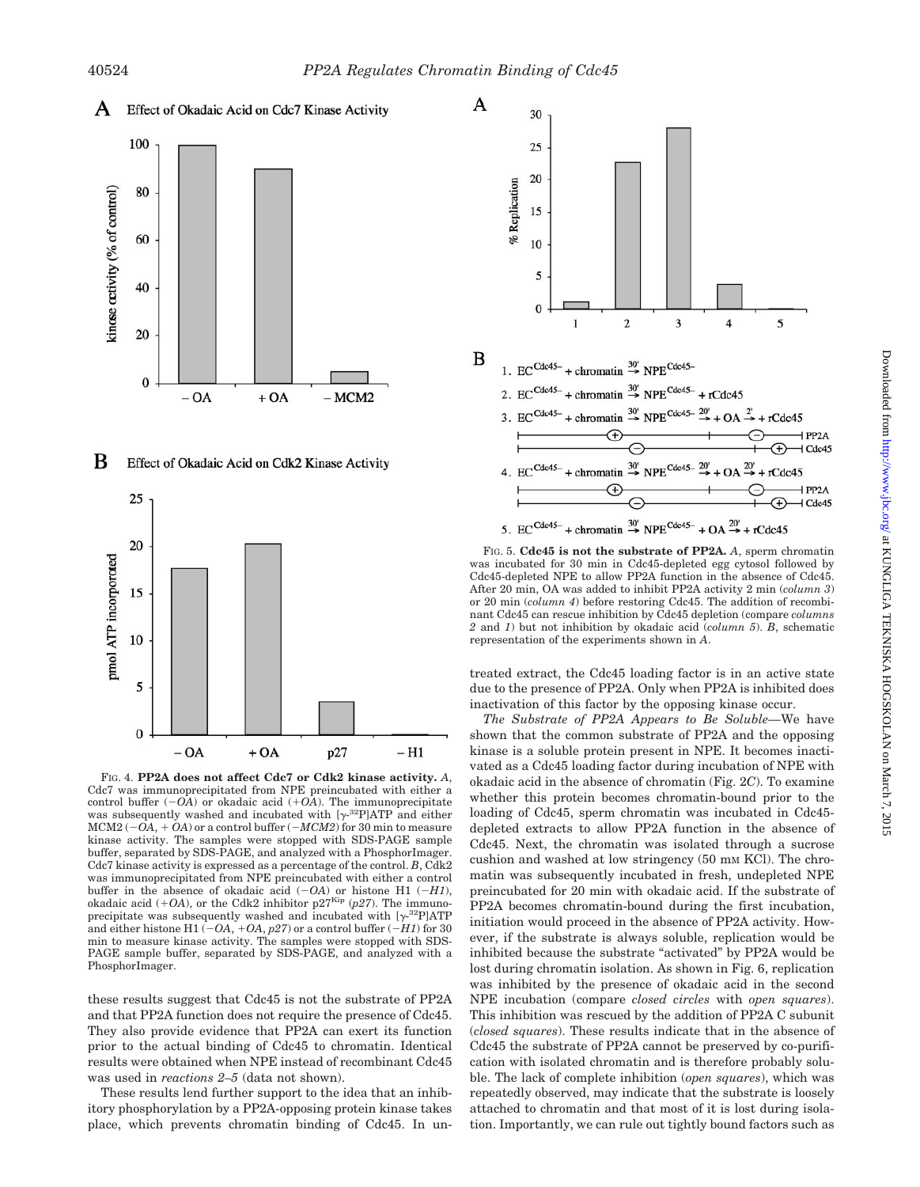





FIG. 4. **PP2A does not affect Cdc7 or Cdk2 kinase activity.** *A*, Cdc7 was immunoprecipitated from NPE preincubated with either a control buffer  $(-0\overline{A})$  or okadaic acid  $(+0\overline{A})$ . The immunoprecipitate was subsequently washed and incubated with  $[\gamma^{32}P]ATP$  and either  $MCM2$  ( $-OA$ ,  $+ OA$ ) or a control buffer ( $-MCM2$ ) for 30 min to measure kinase activity. The samples were stopped with SDS-PAGE sample buffer, separated by SDS-PAGE, and analyzed with a PhosphorImager. Cdc7 kinase activity is expressed as a percentage of the control. *B*, Cdk2 was immunoprecipitated from NPE preincubated with either a control buffer in the absence of okadaic acid  $(-OA)$  or histone H1  $(-H1)$ , okadaic acid  $(+OA)$ , or the Cdk2 inhibitor  $p27<sup>Kip</sup>$  ( $p27$ ). The immunoprecipitate was subsequently washed and incubated with  $[\gamma^{32}P]ATP$ and either histone H1 ( $-OA$ ,  $+OA$ ,  $p27$ ) or a control buffer ( $-H1$ ) for 30 min to measure kinase activity. The samples were stopped with SDS-PAGE sample buffer, separated by SDS-PAGE, and analyzed with a PhosphorImager.

these results suggest that Cdc45 is not the substrate of PP2A and that PP2A function does not require the presence of Cdc45. They also provide evidence that PP2A can exert its function prior to the actual binding of Cdc45 to chromatin. Identical results were obtained when NPE instead of recombinant Cdc45 was used in *reactions 2–5* (data not shown).

These results lend further support to the idea that an inhibitory phosphorylation by a PP2A-opposing protein kinase takes place, which prevents chromatin binding of Cdc45. In un-



FIG. 5. **Cdc45 is not the substrate of PP2A.** *A*, sperm chromatin was incubated for 30 min in Cdc45-depleted egg cytosol followed by Cdc45-depleted NPE to allow PP2A function in the absence of Cdc45. After 20 min, OA was added to inhibit PP2A activity 2 min (*column 3*) or 20 min (*column 4*) before restoring Cdc45. The addition of recombinant Cdc45 can rescue inhibition by Cdc45 depletion (compare *columns 2* and *1*) but not inhibition by okadaic acid (*column 5*). *B*, schematic representation of the experiments shown in *A*.

treated extract, the Cdc45 loading factor is in an active state due to the presence of PP2A. Only when PP2A is inhibited does inactivation of this factor by the opposing kinase occur.

*The Substrate of PP2A Appears to Be Soluble—*We have shown that the common substrate of PP2A and the opposing kinase is a soluble protein present in NPE. It becomes inactivated as a Cdc45 loading factor during incubation of NPE with okadaic acid in the absence of chromatin (Fig. 2*C*). To examine whether this protein becomes chromatin-bound prior to the loading of Cdc45, sperm chromatin was incubated in Cdc45depleted extracts to allow PP2A function in the absence of Cdc45. Next, the chromatin was isolated through a sucrose cushion and washed at low stringency (50 mM KCl). The chromatin was subsequently incubated in fresh, undepleted NPE preincubated for 20 min with okadaic acid. If the substrate of PP2A becomes chromatin-bound during the first incubation, initiation would proceed in the absence of PP2A activity. However, if the substrate is always soluble, replication would be inhibited because the substrate "activated" by PP2A would be lost during chromatin isolation. As shown in Fig. 6, replication was inhibited by the presence of okadaic acid in the second NPE incubation (compare *closed circles* with *open squares*). This inhibition was rescued by the addition of PP2A C subunit (*closed squares*). These results indicate that in the absence of Cdc45 the substrate of PP2A cannot be preserved by co-purification with isolated chromatin and is therefore probably soluble. The lack of complete inhibition (*open squares*), which was repeatedly observed, may indicate that the substrate is loosely attached to chromatin and that most of it is lost during isolation. Importantly, we can rule out tightly bound factors such as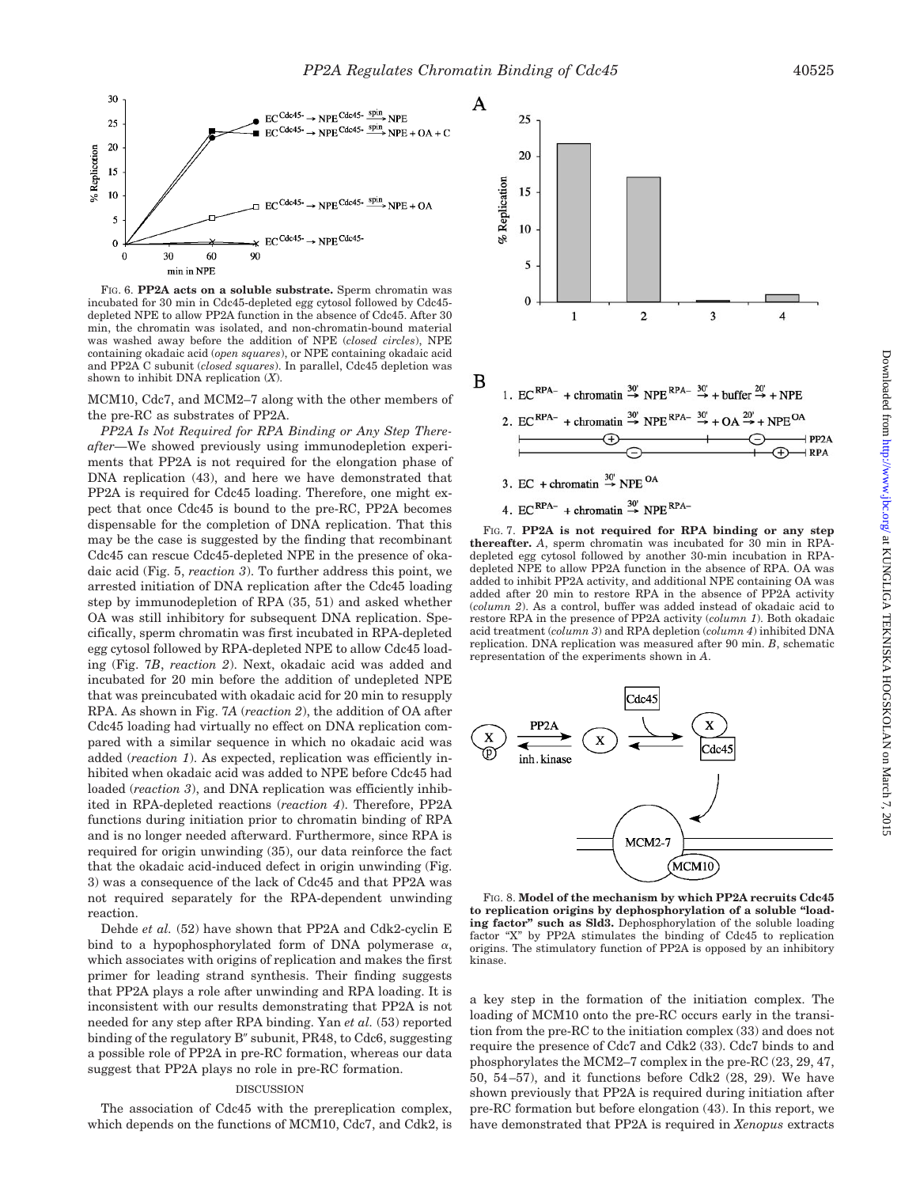

FIG. 6. **PP2A acts on a soluble substrate.** Sperm chromatin was incubated for 30 min in Cdc45-depleted egg cytosol followed by Cdc45 depleted NPE to allow PP2A function in the absence of Cdc45. After 30 min, the chromatin was isolated, and non-chromatin-bound material was washed away before the addition of NPE (*closed circles*), NPE containing okadaic acid (*open squares*), or NPE containing okadaic acid and PP2A C subunit (*closed squares*). In parallel, Cdc45 depletion was shown to inhibit DNA replication (*X*).

MCM10, Cdc7, and MCM2–7 along with the other members of the pre-RC as substrates of PP2A.

*PP2A Is Not Required for RPA Binding or Any Step Thereafter—*We showed previously using immunodepletion experiments that PP2A is not required for the elongation phase of DNA replication (43), and here we have demonstrated that PP2A is required for Cdc45 loading. Therefore, one might expect that once Cdc45 is bound to the pre-RC, PP2A becomes dispensable for the completion of DNA replication. That this may be the case is suggested by the finding that recombinant Cdc45 can rescue Cdc45-depleted NPE in the presence of okadaic acid (Fig. 5, *reaction 3*). To further address this point, we arrested initiation of DNA replication after the Cdc45 loading step by immunodepletion of RPA (35, 51) and asked whether OA was still inhibitory for subsequent DNA replication. Specifically, sperm chromatin was first incubated in RPA-depleted egg cytosol followed by RPA-depleted NPE to allow Cdc45 loading (Fig. 7*B*, *reaction 2*). Next, okadaic acid was added and incubated for 20 min before the addition of undepleted NPE that was preincubated with okadaic acid for 20 min to resupply RPA. As shown in Fig. 7*A* (*reaction 2*), the addition of OA after Cdc45 loading had virtually no effect on DNA replication compared with a similar sequence in which no okadaic acid was added (*reaction 1*). As expected, replication was efficiently inhibited when okadaic acid was added to NPE before Cdc45 had loaded (*reaction 3*), and DNA replication was efficiently inhibited in RPA-depleted reactions (*reaction 4*). Therefore, PP2A functions during initiation prior to chromatin binding of RPA and is no longer needed afterward. Furthermore, since RPA is required for origin unwinding (35), our data reinforce the fact that the okadaic acid-induced defect in origin unwinding (Fig. 3) was a consequence of the lack of Cdc45 and that PP2A was not required separately for the RPA-dependent unwinding reaction.

Dehde *et al.* (52) have shown that PP2A and Cdk2-cyclin E bind to a hypophosphorylated form of DNA polymerase  $\alpha$ , which associates with origins of replication and makes the first primer for leading strand synthesis. Their finding suggests that PP2A plays a role after unwinding and RPA loading. It is inconsistent with our results demonstrating that PP2A is not needed for any step after RPA binding. Yan *et al.* (53) reported binding of the regulatory B'' subunit, PR48, to Cdc6, suggesting a possible role of PP2A in pre-RC formation, whereas our data suggest that PP2A plays no role in pre-RC formation.

#### DISCUSSION

The association of Cdc45 with the prereplication complex, which depends on the functions of MCM10, Cdc7, and Cdk2, is



3. EC + chromatin  $\stackrel{30^{\circ}}{\rightarrow}$  NPE <sup>OA</sup>

4. EC<sup>RPA-</sup> + chromatin  $\stackrel{30}{\rightarrow}$  NPE<sup>RPA-</sup>

FIG. 7. **PP2A is not required for RPA binding or any step thereafter.** *A*, sperm chromatin was incubated for 30 min in RPAdepleted egg cytosol followed by another 30-min incubation in RPAdepleted NPE to allow PP2A function in the absence of RPA. OA was added to inhibit PP2A activity, and additional NPE containing OA was added after 20 min to restore RPA in the absence of PP2A activity (*column 2*). As a control, buffer was added instead of okadaic acid to restore RPA in the presence of PP2A activity (*column 1*). Both okadaic acid treatment (*column 3*) and RPA depletion (*column 4*) inhibited DNA replication. DNA replication was measured after 90 min. *B*, schematic representation of the experiments shown in *A*.



FIG. 8. **Model of the mechanism by which PP2A recruits Cdc45 to replication origins by dephosphorylation of a soluble "loading factor" such as Sld3.** Dephosphorylation of the soluble loading factor "X" by PP2A stimulates the binding of Cdc45 to replication origins. The stimulatory function of PP2A is opposed by an inhibitory kinase.

a key step in the formation of the initiation complex. The loading of MCM10 onto the pre-RC occurs early in the transition from the pre-RC to the initiation complex (33) and does not require the presence of Cdc7 and Cdk2 (33). Cdc7 binds to and phosphorylates the MCM2–7 complex in the pre-RC (23, 29, 47, 50, 54–57), and it functions before Cdk2 (28, 29). We have shown previously that PP2A is required during initiation after pre-RC formation but before elongation (43). In this report, we have demonstrated that PP2A is required in *Xenopus* extracts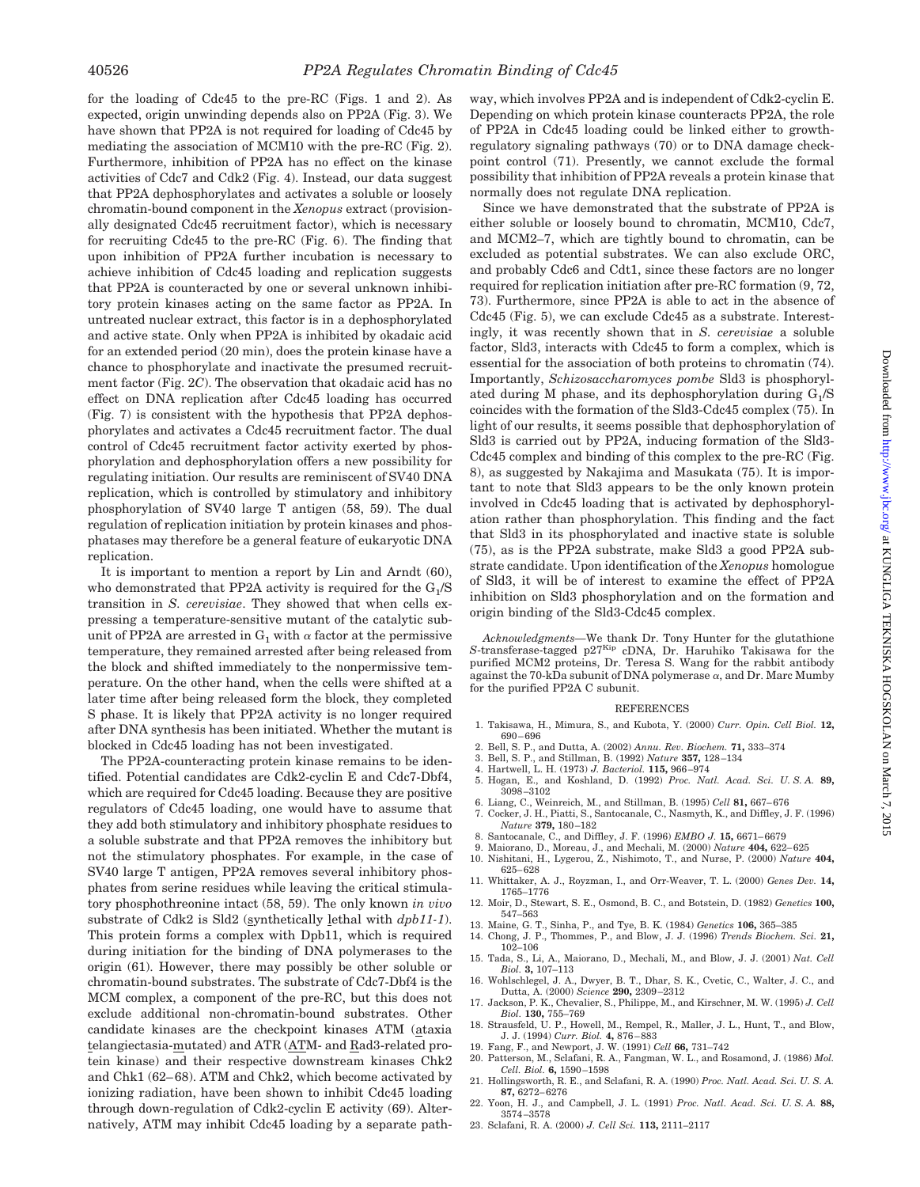for the loading of Cdc45 to the pre-RC (Figs. 1 and 2). As expected, origin unwinding depends also on PP2A (Fig. 3). We have shown that PP2A is not required for loading of Cdc45 by mediating the association of MCM10 with the pre-RC (Fig. 2). Furthermore, inhibition of PP2A has no effect on the kinase activities of Cdc7 and Cdk2 (Fig. 4). Instead, our data suggest that PP2A dephosphorylates and activates a soluble or loosely chromatin-bound component in the *Xenopus* extract (provisionally designated Cdc45 recruitment factor), which is necessary for recruiting Cdc45 to the pre-RC (Fig. 6). The finding that upon inhibition of PP2A further incubation is necessary to achieve inhibition of Cdc45 loading and replication suggests that PP2A is counteracted by one or several unknown inhibitory protein kinases acting on the same factor as PP2A. In untreated nuclear extract, this factor is in a dephosphorylated and active state. Only when PP2A is inhibited by okadaic acid for an extended period (20 min), does the protein kinase have a chance to phosphorylate and inactivate the presumed recruitment factor (Fig. 2*C*). The observation that okadaic acid has no effect on DNA replication after Cdc45 loading has occurred (Fig. 7) is consistent with the hypothesis that PP2A dephosphorylates and activates a Cdc45 recruitment factor. The dual control of Cdc45 recruitment factor activity exerted by phosphorylation and dephosphorylation offers a new possibility for regulating initiation. Our results are reminiscent of SV40 DNA replication, which is controlled by stimulatory and inhibitory phosphorylation of SV40 large T antigen (58, 59). The dual regulation of replication initiation by protein kinases and phosphatases may therefore be a general feature of eukaryotic DNA replication.

It is important to mention a report by Lin and Arndt (60), who demonstrated that PP2A activity is required for the  $G<sub>1</sub>/S$ transition in *S. cerevisiae*. They showed that when cells expressing a temperature-sensitive mutant of the catalytic subunit of PP2A are arrested in  $G_1$  with  $\alpha$  factor at the permissive temperature, they remained arrested after being released from the block and shifted immediately to the nonpermissive temperature. On the other hand, when the cells were shifted at a later time after being released form the block, they completed S phase. It is likely that PP2A activity is no longer required after DNA synthesis has been initiated. Whether the mutant is blocked in Cdc45 loading has not been investigated.

The PP2A-counteracting protein kinase remains to be identified. Potential candidates are Cdk2-cyclin E and Cdc7-Dbf4, which are required for Cdc45 loading. Because they are positive regulators of Cdc45 loading, one would have to assume that they add both stimulatory and inhibitory phosphate residues to a soluble substrate and that PP2A removes the inhibitory but not the stimulatory phosphates. For example, in the case of SV40 large T antigen, PP2A removes several inhibitory phosphates from serine residues while leaving the critical stimulatory phosphothreonine intact (58, 59). The only known *in vivo* substrate of Cdk2 is Sld2 (synthetically lethal with *dpb11-1*). This protein forms a complex with Dpb11, which is required during initiation for the binding of DNA polymerases to the origin (61). However, there may possibly be other soluble or chromatin-bound substrates. The substrate of Cdc7-Dbf4 is the MCM complex, a component of the pre-RC, but this does not exclude additional non-chromatin-bound substrates. Other candidate kinases are the checkpoint kinases ATM (ataxia telangiectasia-mutated) and ATR (ATM- and Rad3-related protein kinase) and their respective downstream kinases Chk2 and Chk1 (62–68). ATM and Chk2, which become activated by ionizing radiation, have been shown to inhibit Cdc45 loading through down-regulation of Cdk2-cyclin E activity (69). Alternatively, ATM may inhibit Cdc45 loading by a separate path-

way, which involves PP2A and is independent of Cdk2-cyclin E. Depending on which protein kinase counteracts PP2A, the role of PP2A in Cdc45 loading could be linked either to growthregulatory signaling pathways (70) or to DNA damage checkpoint control (71). Presently, we cannot exclude the formal possibility that inhibition of PP2A reveals a protein kinase that normally does not regulate DNA replication.

Since we have demonstrated that the substrate of PP2A is either soluble or loosely bound to chromatin, MCM10, Cdc7, and MCM2–7, which are tightly bound to chromatin, can be excluded as potential substrates. We can also exclude ORC, and probably Cdc6 and Cdt1, since these factors are no longer required for replication initiation after pre-RC formation (9, 72, 73). Furthermore, since PP2A is able to act in the absence of Cdc45 (Fig. 5), we can exclude Cdc45 as a substrate. Interestingly, it was recently shown that in *S. cerevisiae* a soluble factor, Sld3, interacts with Cdc45 to form a complex, which is essential for the association of both proteins to chromatin (74). Importantly, *Schizosaccharomyces pombe* Sld3 is phosphorylated during M phase, and its dephosphorylation during  $G_1/S$ coincides with the formation of the Sld3-Cdc45 complex (75). In light of our results, it seems possible that dephosphorylation of Sld3 is carried out by PP2A, inducing formation of the Sld3- Cdc45 complex and binding of this complex to the pre-RC (Fig. 8), as suggested by Nakajima and Masukata (75). It is important to note that Sld3 appears to be the only known protein involved in Cdc45 loading that is activated by dephosphorylation rather than phosphorylation. This finding and the fact that Sld3 in its phosphorylated and inactive state is soluble (75), as is the PP2A substrate, make Sld3 a good PP2A substrate candidate. Upon identification of the *Xenopus* homologue of Sld3, it will be of interest to examine the effect of PP2A inhibition on Sld3 phosphorylation and on the formation and origin binding of the Sld3-Cdc45 complex.

*Acknowledgments—*We thank Dr. Tony Hunter for the glutathione S-transferase-tagged p27Kip cDNA, Dr. Haruhiko Takisawa for the purified MCM2 proteins, Dr. Teresa S. Wang for the rabbit antibody against the 70-kDa subunit of DNA polymerase  $\alpha$ , and Dr. Marc Mumby for the purified PP2A C subunit.

#### REFERENCES

- 1. Takisawa, H., Mimura, S., and Kubota, Y. (2000) *Curr. Opin. Cell Biol.* **12,** 690–696
- 2. Bell, S. P., and Dutta, A. (2002) *Annu. Rev. Biochem.* **71,** 333–374
- 3. Bell, S. P., and Stillman, B. (1992) *Nature* **357,** 128–134
- 4. Hartwell, L. H. (1973) *J. Bacteriol.* **115,** 966–974
- 5. Hogan, E., and Koshland, D. (1992) *Proc. Natl. Acad. Sci. U. S. A.* **89,**  $3098 - 3102$
- 6. Liang, C., Weinreich, M., and Stillman, B. (1995) *Cell* **81,** 667–676
- 7. Cocker, J. H., Piatti, S., Santocanale, C., Nasmyth, K., and Diffley, J. F. (1996) *Nature* **379,** 180–182
- 8. Santocanale, C., and Diffley, J. F. (1996) *EMBO J.* **15,** 6671–6679
- 9. Maiorano, D., Moreau, J., and Mechali, M. (2000) *Nature* **404,** 622–625 10. Nishitani, H., Lygerou, Z., Nishimoto, T., and Nurse, P. (2000) *Nature* **404,**
- 625–628 11. Whittaker, A. J., Royzman, I., and Orr-Weaver, T. L. (2000) *Genes Dev.* **14,**
- 1765–1776 12. Moir, D., Stewart, S. E., Osmond, B. C., and Botstein, D. (1982) *Genetics* **100,** 547–563
- 13. Maine, G. T., Sinha, P., and Tye, B. K. (1984) *Genetics* **106,** 365–385
- 14. Chong, J. P., Thommes, P., and Blow, J. J. (1996) *Trends Biochem. Sci.* **21,** 102–106
- 15. Tada, S., Li, A., Maiorano, D., Mechali, M., and Blow, J. J. (2001) *Nat. Cell Biol.* **3,** 107–113
- 16. Wohlschlegel, J. A., Dwyer, B. T., Dhar, S. K., Cvetic, C., Walter, J. C., and Dutta, A. (2000) *Science* **290,** 2309–2312
- 17. Jackson, P. K., Chevalier, S., Philippe, M., and Kirschner, M. W. (1995) *J. Cell Biol.* **130,** 755–769 18. Strausfeld, U. P., Howell, M., Rempel, R., Maller, J. L., Hunt, T., and Blow,
- J. J. (1994) *Curr. Biol.* **4,** 876–883 19. Fang, F., and Newport, J. W. (1991) *Cell* **66,** 731–742
- 20. Patterson, M., Sclafani, R. A., Fangman, W. L., and Rosamond, J. (1986) *Mol. Cell. Biol.* **6,** 1590–1598
- 21. Hollingsworth, R. E., and Sclafani, R. A. (1990) *Proc. Natl. Acad. Sci. U. S. A.* **87,** 6272–6276
- 22. Yoon, H. J., and Campbell, J. L. (1991) *Proc. Natl. Acad. Sci. U. S. A.* **88,** 3574–3578
- 23. Sclafani, R. A. (2000) *J. Cell Sci.* **113,** 2111–2117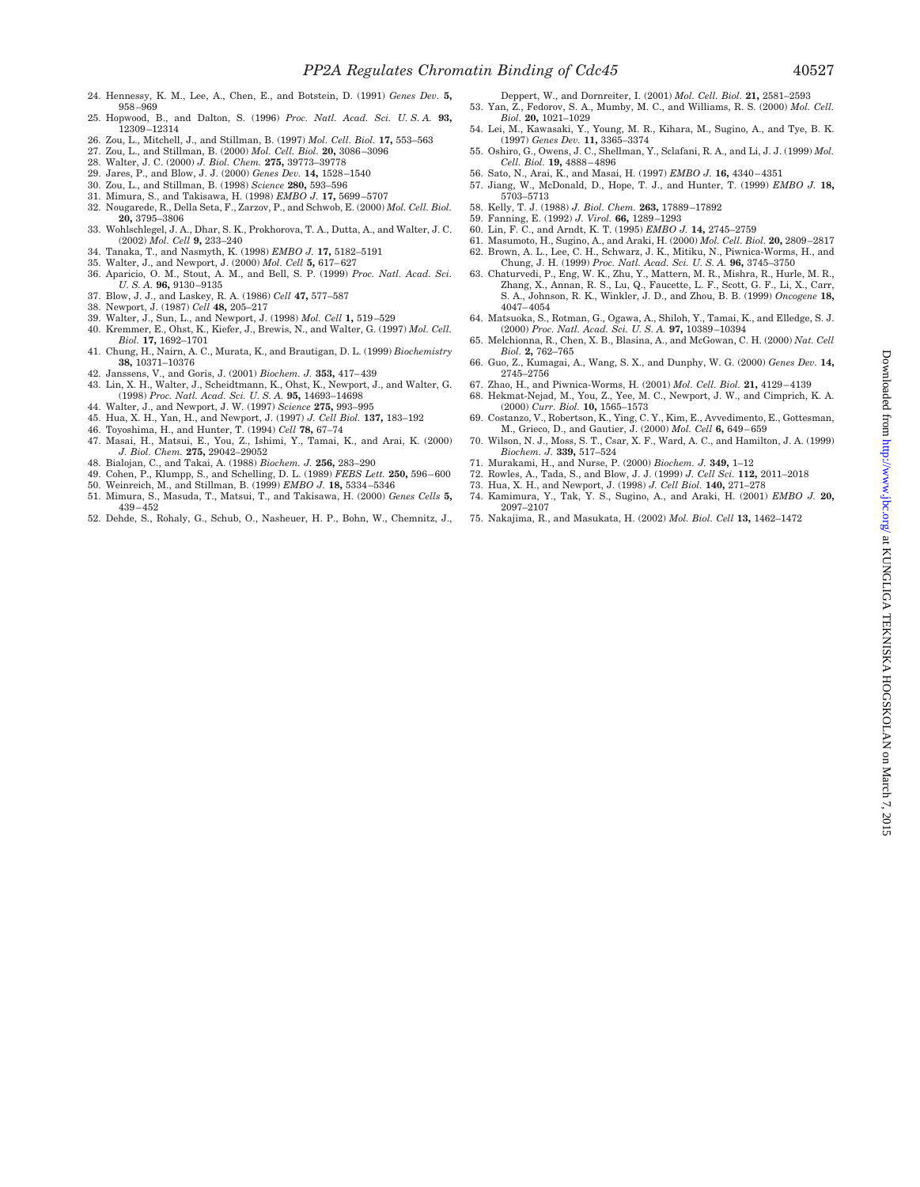- 24. Hennessy, K. M., Lee, A., Chen, E., and Botstein, D. (1991) *Genes Dev.* **5,** 958–969
- 25. Hopwood, B., and Dalton, S. (1996) *Proc. Natl. Acad. Sci. U. S. A.* **93,** 12309–12314
- 26. Zou, L., Mitchell, J., and Stillman, B. (1997) *Mol. Cell. Biol.* **17,** 553–563
- 27. Zou, L., and Stillman, B. (2000) *Mol. Cell. Biol.* **20,** 3086–3096
- 28. Walter, J. C. (2000) *J. Biol. Chem.* **275,** 39773–39778
- 29. Jares, P., and Blow, J. J. (2000) *Genes Dev.* **14,** 1528–1540
- 30. Zou, L., and Stillman, B. (1998) *Science* **280,** 593–596
- 31. Mimura, S., and Takisawa, H. (1998) *EMBO J.* **17,** 5699–5707
- 32. Nougarede, R., Della Seta, F., Zarzov, P., and Schwob, E. (2000) *Mol. Cell. Biol.* **20,** 3795–3806
- 33. Wohlschlegel, J. A., Dhar, S. K., Prokhorova, T. A., Dutta, A., and Walter, J. C. (2002) *Mol. Cell* **9,** 233–240
- 34. Tanaka, T., and Nasmyth, K. (1998) *EMBO J.* **17,** 5182–5191
- 35. Walter, J., and Newport, J. (2000) *Mol. Cell* **5,** 617–627
- 36. Aparicio, O. M., Stout, A. M., and Bell, S. P. (1999) *Proc. Natl. Acad. Sci. U. S. A.* **96,** 9130–9135
- 37. Blow, J. J., and Laskey, R. A. (1986) *Cell* **47,** 577–587
- 38. Newport, J. (1987) *Cell* **48,** 205–217
- 39. Walter, J., Sun, L., and Newport, J. (1998) *Mol. Cell* **1,** 519–529
- 40. Kremmer, E., Ohst, K., Kiefer, J., Brewis, N., and Walter, G. (1997) *Mol. Cell. Biol.* **17,** 1692–1701
- 41. Chung, H., Nairn, A. C., Murata, K., and Brautigan, D. L. (1999) *Biochemistry* **38,** 10371–10376
- 42. Janssens, V., and Goris, J. (2001) *Biochem. J.* **353,** 417–439 43. Lin, X. H., Walter, J., Scheidtmann, K., Ohst, K., Newport, J., and Walter, G.
- (1998) *Proc. Natl. Acad. Sci. U. S. A.* **95,** 14693–14698
- 44. Walter, J., and Newport, J. W. (1997) *Science* **275,** 993–995
- 45. Hua, X. H., Yan, H., and Newport, J. (1997) *J. Cell Biol.* **137,** 183–192
- 46. Toyoshima, H., and Hunter, T. (1994) *Cell* **78,** 67–74
- 47. Masai, H., Matsui, E., You, Z., Ishimi, Y., Tamai, K., and Arai, K. (2000) *J. Biol. Chem.* **275,** 29042–29052
- 48. Bialojan, C., and Takai, A. (1988) *Biochem. J.* **256,** 283–290
- 49. Cohen, P., Klumpp, S., and Schelling, D. L. (1989) *FEBS Lett.* **250,** 596–600
- 50. Weinreich, M., and Stillman, B. (1999) *EMBO J.* **18,** 5334–5346
- 51. Mimura, S., Masuda, T., Matsui, T., and Takisawa, H. (2000) *Genes Cells* **5,** 439–452
- 52. Dehde, S., Rohaly, G., Schub, O., Nasheuer, H. P., Bohn, W., Chemnitz, J.,
- Deppert, W., and Dornreiter, I. (2001) *Mol. Cell. Biol.* **21,** 2581–2593 53. Yan, Z., Fedorov, S. A., Mumby, M. C., and Williams, R. S. (2000) *Mol. Cell.*
- *Biol.* **20,** 1021–1029 54. Lei, M., Kawasaki, Y., Young, M. R., Kihara, M., Sugino, A., and Tye, B. K. (1997) *Genes Dev.* **11,** 3365–3374
- 55. Oshiro, G., Owens, J. C., Shellman, Y., Sclafani, R. A., and Li, J. J. (1999) *Mol. Cell. Biol.* **19,** 4888–4896
- 56. Sato, N., Arai, K., and Masai, H. (1997) *EMBO J.* **16,** 4340–4351
- 57. Jiang, W., McDonald, D., Hope, T. J., and Hunter, T. (1999) *EMBO J.* **18,** 5703–5713
- 58. Kelly, T. J. (1988) *J. Biol. Chem.* **263,** 17889–17892
- 59. Fanning, E. (1992) *J. Virol.* **66,** 1289–1293
- 60. Lin, F. C., and Arndt, K. T. (1995) *EMBO J.* **14,** 2745–2759
- 61. Masumoto, H., Sugino, A., and Araki, H. (2000) *Mol. Cell. Biol.* **20,** 2809–2817 62. Brown, A. L., Lee, C. H., Schwarz, J. K., Mitiku, N., Piwnica-Worms, H., and Chung, J. H. (1999) *Proc. Natl. Acad. Sci. U. S. A.* **96,** 3745–3750
- 63. Chaturvedi, P., Eng, W. K., Zhu, Y., Mattern, M. R., Mishra, R., Hurle, M. R., Zhang, X., Annan, R. S., Lu, Q., Faucette, L. F., Scott, G. F., Li, X., Carr, S. A., Johnson, R. K., Winkler, J. D., and Zhou, B. B. (1999) *Oncogene* **18,** 4047–4054
- 64. Matsuoka, S., Rotman, G., Ogawa, A., Shiloh, Y., Tamai, K., and Elledge, S. J. (2000) *Proc. Natl. Acad. Sci. U. S. A.* **97,** 10389–10394
- 65. Melchionna, R., Chen, X. B., Blasina, A., and McGowan, C. H. (2000) *Nat. Cell Biol.* **2,** 762–765
- 66. Guo, Z., Kumagai, A., Wang, S. X., and Dunphy, W. G. (2000) *Genes Dev.* **14,**  $2745 - 2756$
- 67. Zhao, H., and Piwnica-Worms, H. (2001) *Mol. Cell. Biol.* **21,** 4129–4139
- 68. Hekmat-Nejad, M., You, Z., Yee, M. C., Newport, J. W., and Cimprich, K. A. (2000) *Curr. Biol.* **10,** 1565–1573
- 69. Costanzo, V., Robertson, K., Ying, C. Y., Kim, E., Avvedimento, E., Gottesman, M., Grieco, D., and Gautier, J. (2000) *Mol. Cell* **6,** 649–659
- 70. Wilson, N. J., Moss, S. T., Csar, X. F., Ward, A. C., and Hamilton, J. A. (1999) *Biochem. J.* **339,** 517–524
- 71. Murakami, H., and Nurse, P. (2000) *Biochem. J.* **349,** 1–12
- 72. Rowles, A., Tada, S., and Blow, J. J. (1999) *J. Cell Sci.* **112,** 2011–2018
- 73. Hua, X. H., and Newport, J. (1998) *J. Cell Biol.* **140,** 271–278
- 74. Kamimura, Y., Tak, Y. S., Sugino, A., and Araki, H. (2001) *EMBO J.* **20,** 2097–2107
- 75. Nakajima, R., and Masukata, H. (2002) *Mol. Biol. Cell* **13,** 1462–1472